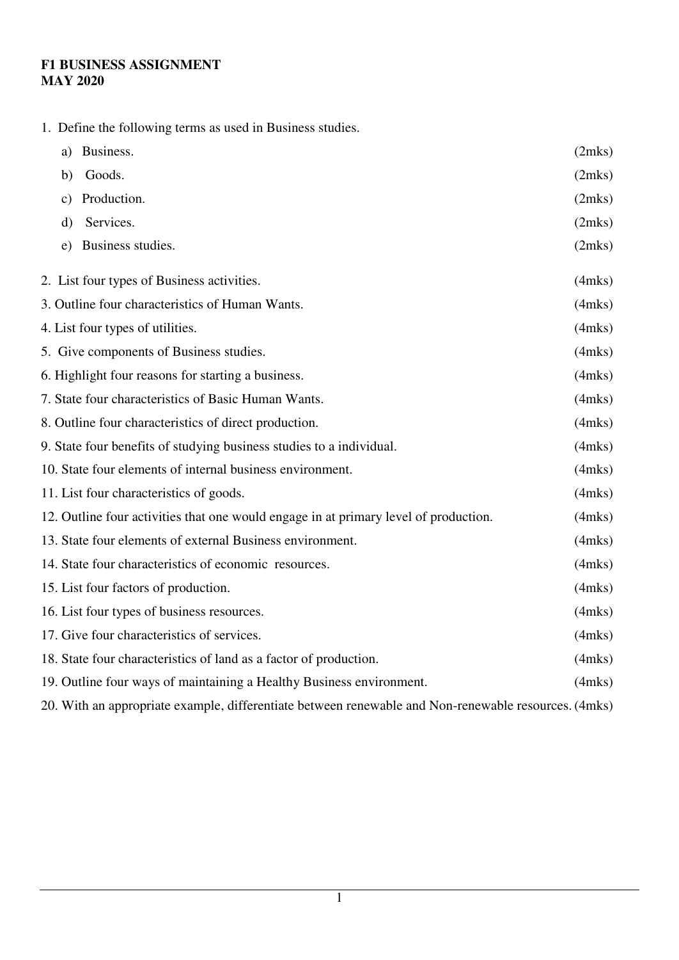## **F1 BUSINESS ASSIGNMENT MAY 2020**

1. Define the following terms as used in Business studies.

| Business.<br>a)                                                                      | (2mks)       |
|--------------------------------------------------------------------------------------|--------------|
| Goods.<br>b)                                                                         | (2mks)       |
| Production.<br>C)                                                                    | (2mks)       |
| Services.<br>$\mathbf{d}$                                                            | (2mks)       |
| Business studies.<br>e)                                                              | (2mks)       |
| 2. List four types of Business activities.                                           | $(4$ mks $)$ |
| 3. Outline four characteristics of Human Wants.                                      | $(4$ mks $)$ |
| 4. List four types of utilities.                                                     | $(4$ mks $)$ |
| 5. Give components of Business studies.                                              | $(4$ mks $)$ |
| 6. Highlight four reasons for starting a business.                                   | $(4$ mks $)$ |
| 7. State four characteristics of Basic Human Wants.                                  | $(4$ mks $)$ |
| 8. Outline four characteristics of direct production.                                | $(4$ mks $)$ |
| 9. State four benefits of studying business studies to a individual.                 | $(4$ mks $)$ |
| 10. State four elements of internal business environment.                            | $(4$ mks $)$ |
| 11. List four characteristics of goods.                                              | $(4$ mks $)$ |
| 12. Outline four activities that one would engage in at primary level of production. | $(4$ mks $)$ |
| 13. State four elements of external Business environment.                            | $(4$ mks $)$ |
| 14. State four characteristics of economic resources.                                | $(4$ mks $)$ |
| 15. List four factors of production.                                                 | $(4$ mks $)$ |
| 16. List four types of business resources.                                           | $(4$ mks $)$ |
| 17. Give four characteristics of services.                                           | $(4$ mks $)$ |
| 18. State four characteristics of land as a factor of production.                    | $(4$ mks $)$ |
| 19. Outline four ways of maintaining a Healthy Business environment.                 | $(4$ mks $)$ |
|                                                                                      |              |

20. With an appropriate example, differentiate between renewable and Non-renewable resources. (4mks)